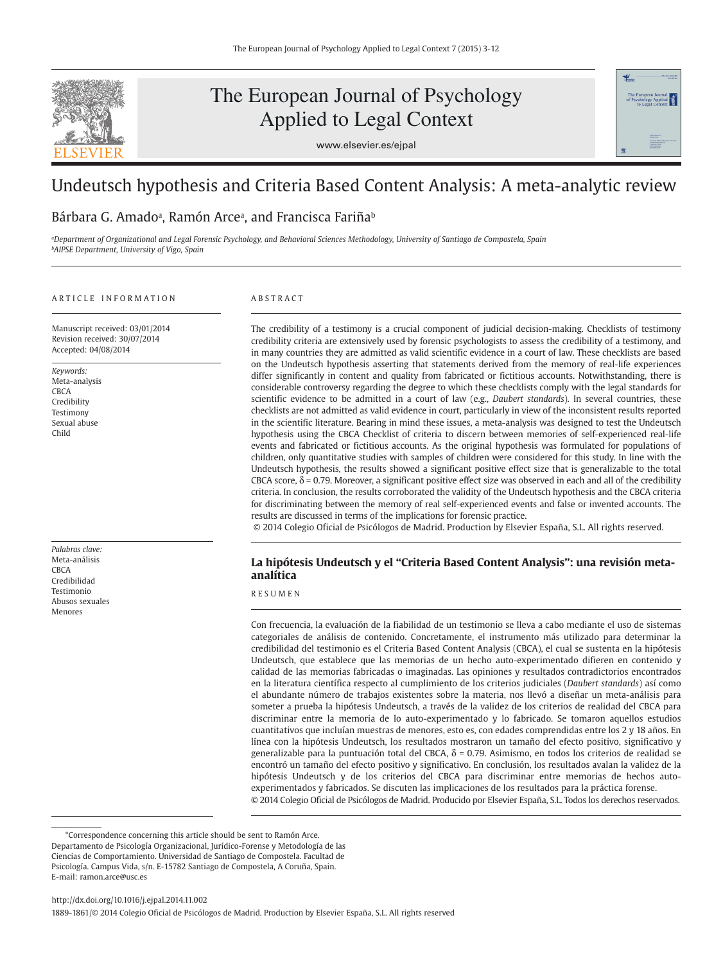

# The European Journal of Psychology Applied to Legal Context





## Undeutsch hypothesis and Criteria Based Content Analysis: A meta-analytic review

## Bárbara G. Amadoª, Ramón Arceª, and Francisca Fariña<sup>ь</sup>

*<sup>a</sup>Department of Organizational and Legal Forensic Psychology, and Behavioral Sciences Methodology, University of Santiago de Compostela, Spain <sup>b</sup>AIPSE Department, University of Vigo, Spain*

#### A R T I C L E L IN FOR M A T LON

Manuscript received: 03/01/2014 Revision received: 30/07/2014 Accepted: 04/08/2014

*Keywords:* Meta-analysis CBCA Credibility Testimony Sexual abuse Child

*Palabras clave:*  Meta-análisis **CBCA** Credibilidad Testimonio Abusos sexuales Menores

### A B S T R A C T

The credibility of a testimony is a crucial component of judicial decision-making. Checklists of testimony credibility criteria are extensively used by forensic psychologists to assess the credibility of a testimony, and in many countries they are admitted as valid scientific evidence in a court of law. These checklists are based on the Undeutsch hypothesis asserting that statements derived from the memory of real-life experiences differ significantly in content and quality from fabricated or fictitious accounts. Notwithstanding, there is considerable controversy regarding the degree to which these checklists comply with the legal standards for scientific evidence to be admitted in a court of law (e.g., *Daubert standards*). In several countries, these checklists are not admitted as valid evidence in court, particularly in view of the inconsistent results reported in the scientific literature. Bearing in mind these issues, a meta-analysis was designed to test the Undeutsch hypothesis using the CBCA Checklist of criteria to discern between memories of self-experienced real-life events and fabricated or fictitious accounts. As the original hypothesis was formulated for populations of children, only quantitative studies with samples of children were considered for this study. In line with the Undeutsch hypothesis, the results showed a significant positive effect size that is generalizable to the total CBCA score,  $\delta$  = 0.79. Moreover, a significant positive effect size was observed in each and all of the credibility criteria. In conclusion, the results corroborated the validity of the Undeutsch hypothesis and the CBCA criteria for discriminating between the memory of real self-experienced events and false or invented accounts. The results are discussed in terms of the implications for forensic practice.

© 2014 Colegio Oficial de Psicólogos de Madrid. Production by Elsevier España, S.L. All rights reserved.

#### **La hipótesis Undeutsch y el "Criteria Based Content Analysis": una revisión meta analítica**

### R E S U M E N

Con frecuencia, la evaluación de la fiabilidad de un testimonio se lleva a cabo mediante el uso de sistemas categoriales de análisis de contenido. Concretamente, el instrumento más utilizado para determinar la credibilidad del testimonio es el Criteria Based Content Analysis (CBCA), el cual se sustenta en la hipótesis Undeutsch, que establece que las memorias de un hecho auto-experimentado difieren en contenido y calidad de las memorias fabricadas o imaginadas. Las opiniones y resultados contradictorios encontrados en la literatura científica respecto al cumplimiento de los criterios judiciales (*Daubert standards*) así como el abundante número de trabajos existentes sobre la materia, nos llevó a diseñar un meta-análisis para someter a prueba la hipótesis Undeutsch, a través de la validez de los criterios de realidad del CBCA para discriminar entre la memoria de lo auto-experimentado y lo fabricado. Se tomaron aquellos estudios cuantitativos que incluían muestras de menores, esto es, con edades comprendidas entre los 2 y 18 años. En línea con la hipótesis Undeutsch, los resultados mostraron un tamaño del efecto positivo, significativo y generalizable para la puntuación total del CBCA, δ = 0.79. Asimismo, en todos los criterios de realidad se encontró un tamaño del efecto positivo y significativo. En conclusión, los resultados avalan la validez de la hipótesis Undeutsch y de los criterios del CBCA para discriminar entre memorias de hechos autoexperimentados y fabricados. Se discuten las implicaciones de los resultados para la práctica forense. © 2014 Colegio Oficial de Psicólogos de Madrid. Producido por Elsevier España, S.L. Todos los derechos reservados.

<sup>\*</sup>Correspondence concerning this article should be sent to Ramón Arce. Departamento de Psicología Organizacional, Jurídico-Forense y Metodología de las Ciencias de Comportamiento. Universidad de Santiago de Compostela. Facultad de Psicología. Campus Vida, s/n. E-15782 Santiago de Compostela, A Coruña, Spain. E-mail: ramon.arce@usc.es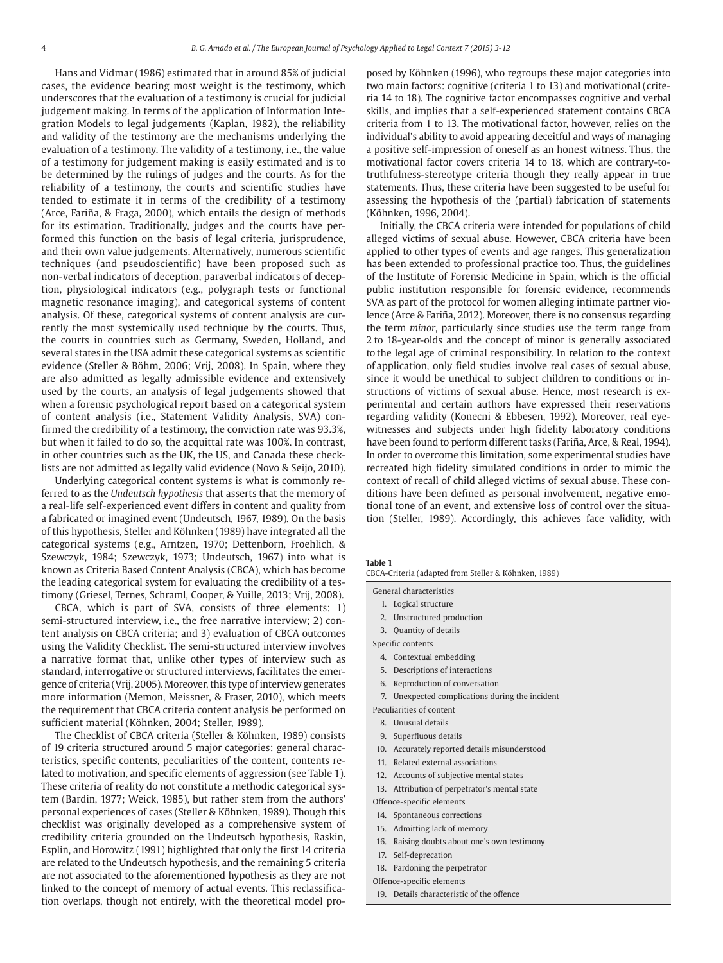Hans and Vidmar (1986) estimated that in around 85% of judicial cases, the evidence bearing most weight is the testimony, which underscores that the evaluation of a testimony is crucial for judicial judgement making. In terms of the application of Information Integration Models to legal judgements (Kaplan, 1982), the reliability and validity of the testimony are the mechanisms underlying the evaluation of a testimony. The validity of a testimony, i.e., the value of a testimony for judgement making is easily estimated and is to be determined by the rulings of judges and the courts. As for the reliability of a testimony, the courts and scientific studies have tended to estimate it in terms of the credibility of a testimony (Arce, Fariña, & Fraga, 2000), which entails the design of methods for its estimation. Traditionally, judges and the courts have performed this function on the basis of legal criteria, jurisprudence, and their own value judgements. Alternatively, numerous scientific techniques (and pseudoscientific) have been proposed such as non-verbal indicators of deception, paraverbal indicators of deception, physiological indicators (e.g., polygraph tests or functional magnetic resonance imaging), and categorical systems of content analysis. Of these, categorical systems of content analysis are currently the most systemically used technique by the courts. Thus, the courts in countries such as Germany, Sweden, Holland, and several states in the USA admit these categorical systems as scientific evidence (Steller & Böhm, 2006; Vrij, 2008). In Spain, where they are also admitted as legally admissible evidence and extensively used by the courts, an analysis of legal judgements showed that when a forensic psychological report based on a categorical system of content analysis (i.e., Statement Validity Analysis, SVA) confirmed the credibility of a testimony, the conviction rate was 93.3%, but when it failed to do so, the acquittal rate was 100%. In contrast, in other countries such as the UK, the US, and Canada these checklists are not admitted as legally valid evidence (Novo & Seijo, 2010).

Underlying categorical content systems is what is commonly referred to as the *Undeutsch hypothesis* that asserts that the memory of a real-life self-experienced event differs in content and quality from a fabricated or imagined event (Undeutsch, 1967, 1989). On the basis of this hypothesis, Steller and Köhnken (1989) have integrated all the categorical systems (e.g., Arntzen, 1970; Dettenborn, Froehlich, & Szewczyk, 1984; Szewczyk, 1973; Undeutsch, 1967) into what is known as Criteria Based Content Analysis (CBCA), which has become the leading categorical system for evaluating the credibility of a testimony (Griesel, Ternes, Schraml, Cooper, & Yuille, 2013; Vrij, 2008).

CBCA, which is part of SVA, consists of three elements: 1) semi-structured interview, i.e., the free narrative interview; 2) content analysis on CBCA criteria; and 3) evaluation of CBCA outcomes using the Validity Checklist. The semi-structured interview involves a narrative format that, unlike other types of interview such as standard, interrogative or structured interviews, facilitates the emergence of criteria (Vrij, 2005). Moreover, this type of interview generates more information (Memon, Meissner, & Fraser, 2010), which meets the requirement that CBCA criteria content analysis be performed on sufficient material (Köhnken, 2004; Steller, 1989).

The Checklist of CBCA criteria (Steller & Köhnken, 1989) consists of 19 criteria structured around 5 major categories: general characteristics, specific contents, peculiarities of the content, contents related to motivation, and specific elements of aggression (see Table 1). These criteria of reality do not constitute a methodic categorical system (Bardin, 1977; Weick, 1985), but rather stem from the authors' personal experiences of cases (Steller & Köhnken, 1989). Though this checklist was originally developed as a comprehensive system of credibility criteria grounded on the Undeutsch hypothesis, Raskin, Esplin, and Horowitz (1991) highlighted that only the first 14 criteria are related to the Undeutsch hypothesis, and the remaining 5 criteria are not associated to the aforementioned hypothesis as they are not linked to the concept of memory of actual events. This reclassification overlaps, though not entirely, with the theoretical model proposed by Köhnken (1996), who regroups these major categories into two main factors: cognitive (criteria 1 to 13) and motivational (criteria 14 to 18). The cognitive factor encompasses cognitive and verbal skills, and implies that a self-experienced statement contains CBCA criteria from 1 to 13. The motivational factor, however, relies on the individual's ability to avoid appearing deceitful and ways of managing a positive self-impression of oneself as an honest witness. Thus, the motivational factor covers criteria 14 to 18, which are contrary -totruthfulness-stereotype criteria though they really appear in true statements. Thus, these criteria have been suggested to be useful for assessing the hypothesis of the (partial) fabrication of statements (Köhnken, 1996, 2004).

Initially, the CBCA criteria were intended for populations of child alleged victims of sexual abuse. However, CBCA criteria have been applied to other types of events and age ranges. This generalization has been extended to professional practice too. Thus, the guidelines of the Institute of Forensic Medicine in Spain, which is the official public institution responsible for forensic evidence, recommends SVA as part of the protocol for women alleging intimate partner violence (Arce & Fariña, 2012). Moreover, there is no consensus regarding the term *minor*, particularly since studies use the term range from 2 to 18-year-olds and the concept of minor is generally associated to the legal age of criminal responsibility. In relation to the context of application, only field studies involve real cases of sexual abuse, since it would be unethical to subject children to conditions or instructions of victims of sexual abuse. Hence, most research is experimental and certain authors have expressed their reservations regarding validity (Konecni & Ebbesen, 1992). Moreover, real eyewitnesses and subjects under high fidelity laboratory conditions have been found to perform different tasks (Fariña, Arce, & Real, 1994). In order to overcome this limitation, some experimental studies have recreated high fidelity simulated conditions in order to mimic the context of recall of child alleged victims of sexual abuse. These conditions have been defined as personal involvement, negative emotional tone of an event, and extensive loss of control over the situation (Steller, 1989). Accordingly, this achieves face validity, with

#### **Table 1**

CBCA-Criteria (adapted from Steller & Köhnken, 1989)

General characteristics

- 1. Logical structure
- 2. Unstructured production
- 3. Quantity of details
- Specific contents
	- 4. Contextual embedding
	- 5. Descriptions of interactions
	- 6. Reproduction of conversation
	- 7. Unexpected complications during the incident
- Peculiarities of content
- 8. Unusual details
- 9. Superfluous details
- 10. Accurately reported details misunderstood
- 11. Related external associations
- 12. Accounts of subjective mental states
- 13. Attribution of perpetrator's mental state

Offence-specific elements

- 14. Spontaneous corrections
- 15. Admitting lack of memory
- 16. Raising doubts about one's own testimony
- 17. Self-deprecation
- 18. Pardoning the perpetrator
- Offence-specific elements
- 19. Details characteristic of the offence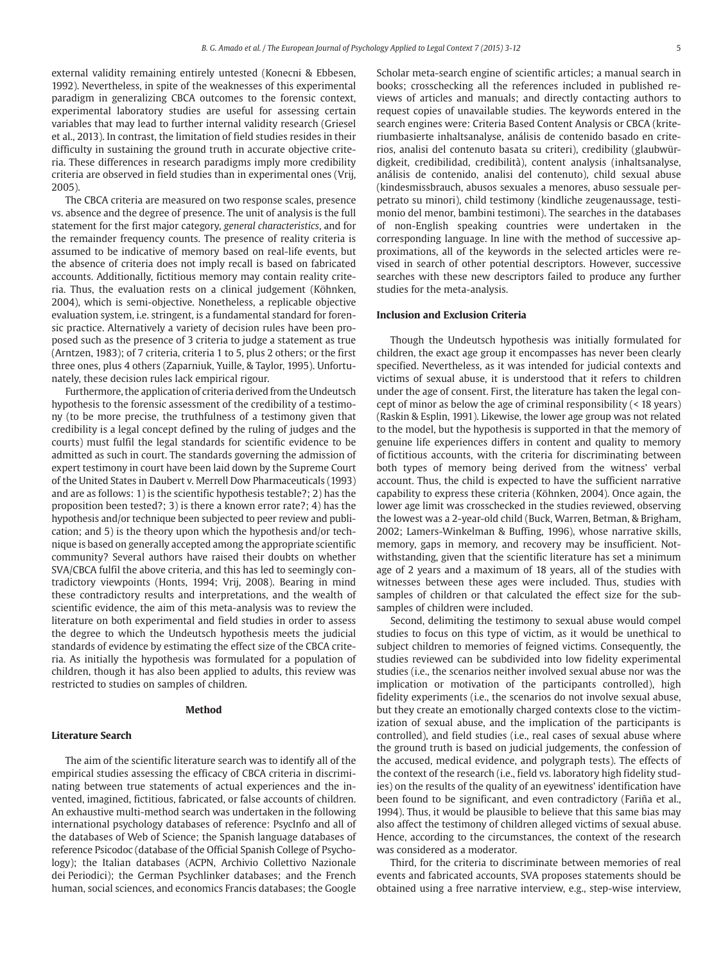external validity remaining entirely untested (Konecni & Ebbesen, 1992). Nevertheless, in spite of the weaknesses of this experimental paradigm in generalizing CBCA outcomes to the forensic context, experimental laboratory studies are useful for assessing certain variables that may lead to further internal validity research (Griesel et al., 2013). In contrast, the limitation of field studies resides in their difficulty in sustaining the ground truth in accurate objective criteria. These differences in research paradigms imply more credibility criteria are observed in field studies than in experimental ones (Vrij, 2005).

The CBCA criteria are measured on two response scales, presence vs. absence and the degree of presence. The unit of analysis is the full statement for the first major category, *general characteristics*, and for the remainder frequency counts. The presence of reality criteria is assumed to be indicative of memory based on real-life events, but the absence of criteria does not imply recall is based on fabricated accounts. Additionally, fictitious memory may contain reality criteria. Thus, the evaluation rests on a clinical judgement (Köhnken, 2004), which is semi-objective. Nonetheless, a replicable objective evaluation system, i.e. stringent, is a fundamental standard for forensic practice. Alternatively a variety of decision rules have been proposed such as the presence of 3 criteria to judge a statement as true (Arntzen, 1983); of 7 criteria, criteria 1 to 5, plus 2 others; or the first three ones, plus 4 others (Zaparniuk, Yuille, & Taylor, 1995). Unfortunately, these decision rules lack empirical rigour.

Furthermore, the application of criteria derived from the Undeutsch hypothesis to the forensic assessment of the credibility of a testimony (to be more precise, the truthfulness of a testimony given that credibility is a legal concept defined by the ruling of judges and the courts) must fulfil the legal standards for scientific evidence to be admitted as such in court. The standards governing the admission of expert testimony in court have been laid down by the Supreme Court of the United States in Daubert v. Merrell Dow Pharmaceuticals (1993) and are as follows: 1) is the scientific hypothesis testable?; 2) has the proposition been tested?; 3) is there a known error rate?; 4) has the hypothesis and/or technique been subjected to peer review and publication; and 5) is the theory upon which the hypothesis and/or technique is based on generally accepted among the appropriate scientific community? Several authors have raised their doubts on whether SVA/CBCA fulfil the above criteria, and this has led to seemingly contradictory viewpoints (Honts, 1994; Vrij, 2008). Bearing in mind these contradictory results and interpretations, and the wealth of scientific evidence, the aim of this meta-analysis was to review the literature on both experimental and field studies in order to assess the degree to which the Undeutsch hypothesis meets the judicial standards of evidence by estimating the effect size of the CBCA criteria. As initially the hypothesis was formulated for a population of children, though it has also been applied to adults, this review was restricted to studies on samples of children.

#### **Method**

#### **Literature Search**

The aim of the scientific literature search was to identify all of the empirical studies assessing the efficacy of CBCA criteria in discriminating between true statements of actual experiences and the invented, imagined, fictitious, fabricated, or false accounts of children. An exhaustive multi-method search was undertaken in the following international psychology databases of reference: PsycInfo and all of the databases of Web of Science; the Spanish language databases of reference Psicodoc (database of the Official Spanish College of Psychology); the Italian databases (ACPN, Archivio Collettivo Nazionale dei Periodici); the German Psychlinker databases; and the French human, social sciences, and economics Francis databases; the Google Scholar meta-search engine of scientific articles; a manual search in books; crosschecking all the references included in published reviews of articles and manuals; and directly contacting authors to request copies of unavailable studies. The keywords entered in the search engines were: Criteria Based Content Analysis or CBCA (kriteriumbasierte inhaltsanalyse, análisis de contenido basado en criterios, analisi del contenuto basata su criteri), credibility (glaubwürdigkeit, credibilidad, credibilità), content analysis (inhaltsanalyse, análisis de contenido, analisi del contenuto), child sexual abuse (kindesmissbrauch, abusos sexuales a menores, abuso sessuale perpetrato su minori), child testimony (kindliche zeugenaussage, testimonio del menor, bambini testimoni). The searches in the databases of non-English speaking countries were undertaken in the corresponding language. In line with the method of successive approximations, all of the keywords in the selected articles were revised in search of other potential descriptors. However, successive searches with these new descriptors failed to produce any further studies for the meta-analysis.

#### **Inclusion and Exclusion Criteria**

Though the Undeutsch hypothesis was initially formulated for children, the exact age group it encompasses has never been clearly specified. Nevertheless, as it was intended for judicial contexts and victims of sexual abuse, it is understood that it refers to children under the age of consent. First, the literature has taken the legal concept of minor as below the age of criminal responsibility (< 18 years) (Raskin & Esplin, 1991). Likewise, the lower age group was not related to the model, but the hypothesis is supported in that the memory of genuine life experiences differs in content and quality to memory of fictitious accounts, with the criteria for discriminating between both types of memory being derived from the witness' verbal account. Thus, the child is expected to have the sufficient narrative capability to express these criteria (Köhnken, 2004). Once again, the lower age limit was crosschecked in the studies reviewed, observing the lowest was a 2-year-old child (Buck, Warren, Betman, & Brigham, 2002; Lamers-Winkelman & Buffing, 1996), whose narrative skills, memory, gaps in memory, and recovery may be insufficient. Notwithstanding, given that the scientific literature has set a minimum age of 2 years and a maximum of 18 years, all of the studies with witnesses between these ages were included. Thus, studies with samples of children or that calculated the effect size for the subsamples of children were included.

Second, delimiting the testimony to sexual abuse would compel studies to focus on this type of victim, as it would be unethical to subject children to memories of feigned victims. Consequently, the studies reviewed can be subdivided into low fidelity experimental studies (i.e., the scenarios neither involved sexual abuse nor was the implication or motivation of the participants controlled), high fidelity experiments (i.e., the scenarios do not involve sexual abuse, but they create an emotionally charged contexts close to the victimization of sexual abuse, and the implication of the participants is controlled), and field studies (i.e., real cases of sexual abuse where the ground truth is based on judicial judgements, the confession of the accused, medical evidence, and polygraph tests). The effects of the context of the research (i.e., field vs. laboratory high fidelity studies) on the results of the quality of an eyewitness' identification have been found to be significant, and even contradictory (Fariña et al., 1994). Thus, it would be plausible to believe that this same bias may also affect the testimony of children alleged victims of sexual abuse. Hence, according to the circumstances, the context of the research was considered as a moderator.

Third, for the criteria to discriminate between memories of real events and fabricated accounts, SVA proposes statements should be obtained using a free narrative interview, e.g., step-wise interview,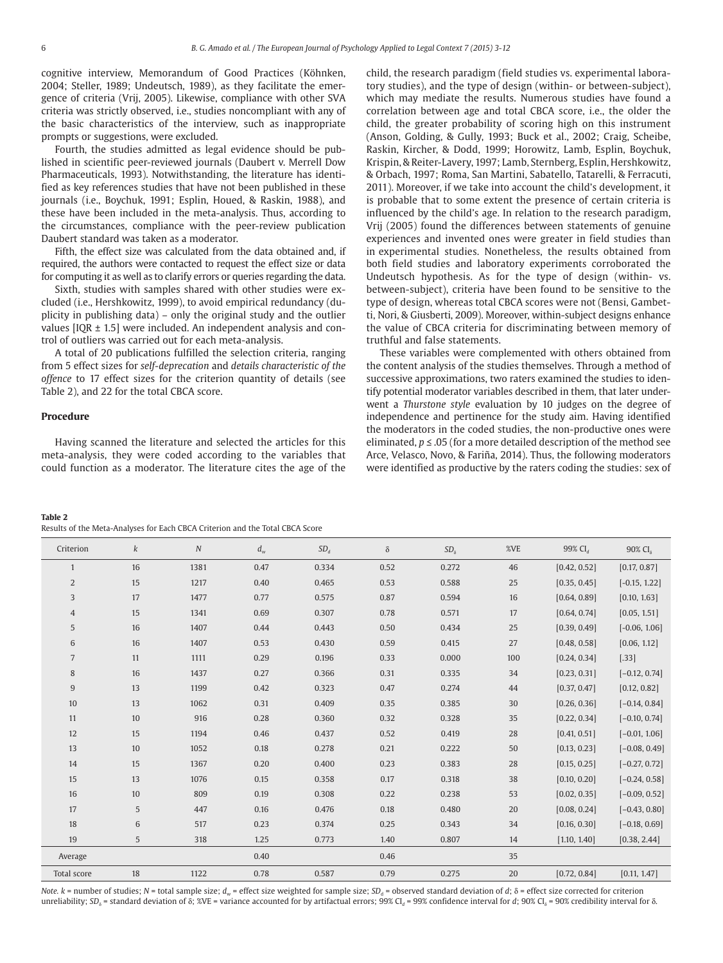cognitive interview, Memorandum of Good Practices (Köhnken, 2004; Steller, 1989; Undeutsch, 1989), as they facilitate the emergence of criteria (Vrij, 2005). Likewise, compliance with other SVA criteria was strictly observed, i.e., studies noncompliant with any of the basic characteristics of the interview, such as inappropriate prompts or suggestions, were excluded.

Fourth, the studies admitted as legal evidence should be published in scientific peer-reviewed journals (Daubert v. Merrell Dow Pharmaceuticals, 1993). Notwithstanding, the literature has identified as key references studies that have not been published in these journals (i.e., Boychuk, 1991; Esplin, Houed, & Raskin, 1988), and these have been included in the meta-analysis. Thus, according to the circumstances, compliance with the peer-review publication Daubert standard was taken as a moderator.

Fifth, the effect size was calculated from the data obtained and, if required, the authors were contacted to request the effect size or data for computing it as well as to clarify errors or queries regarding the data.

Sixth, studies with samples shared with other studies were excluded (i.e., Hershkowitz, 1999), to avoid empirical redundancy (duplicity in publishing data) – only the original study and the outlier values  $[IOR \pm 1.5]$  were included. An independent analysis and control of outliers was carried out for each meta-analysis.

A total of 20 publications fulfilled the selection criteria, ranging from 5 effect sizes for *self-deprecation* and *details characteristic of the offence* to 17 effect sizes for the criterion quantity of details (see Table 2), and 22 for the total CBCA score.

#### **Procedure**

Having scanned the literature and selected the articles for this meta-analysis, they were coded according to the variables that could function as a moderator. The literature cites the age of the child, the research paradigm (field studies vs. experimental laboratory studies), and the type of design (within- or between-subject), which may mediate the results. Numerous studies have found a correlation between age and total CBCA score, i.e., the older the child, the greater probability of scoring high on this instrument (Anson, Golding, & Gully, 1993; Buck et al., 2002; Craig, Scheibe, Raskin, Kircher, & Dodd, 1999; Horowitz, Lamb, Esplin, Boychuk, Krispin, & Reiter-Lavery, 1997; Lamb, Sternberg, Esplin, Hershkowitz, & Orbach, 1997; Roma, San Martini, Sabatello, Tatarelli, & Ferracuti, 2011). Moreover, if we take into account the child's development, it is probable that to some extent the presence of certain criteria is influenced by the child's age. In relation to the research paradigm, Vrij (2005) found the differences between statements of genuine experiences and invented ones were greater in field studies than in experimental studies. Nonetheless, the results obtained from both field studies and laboratory experiments corroborated the Undeutsch hypothesis. As for the type of design (within- vs. between-subject), criteria have been found to be sensitive to the type of design, whereas total CBCA scores were not (Bensi, Gambetti, Nori, & Giusberti, 2009). Moreover, within-subject designs enhance the value of CBCA criteria for discriminating between memory of truthful and false statements.

These variables were complemented with others obtained from the content analysis of the studies themselves. Through a method of successive approximations, two raters examined the studies to identify potential moderator variables described in them, that later underwent a *Thurstone style* evaluation by 10 judges on the degree of independence and pertinence for the study aim. Having identified the moderators in the coded studies, the non-productive ones were eliminated, *p* ≤ .05 (for a more detailed description of the method see Arce, Velasco, Novo, & Fariña, 2014). Thus, the following moderators were identified as productive by the raters coding the studies: sex of

#### **Table 2**

Results of the Meta-Analyses for Each CBCA Criterion and the Total CBCA Score

| Criterion      | k  | $\cal N$ | $d_{\scriptscriptstyle w}$ | $SD_d$ | $\delta$ | $SD_{\delta}$ | %VE    | 99% CI <sub>d</sub> | 90% CI <sub>s</sub> |
|----------------|----|----------|----------------------------|--------|----------|---------------|--------|---------------------|---------------------|
| $\mathbf{1}$   | 16 | 1381     | 0.47                       | 0.334  | 0.52     | 0.272         | 46     | [0.42, 0.52]        | [0.17, 0.87]        |
| $\overline{2}$ | 15 | 1217     | 0.40                       | 0.465  | 0.53     | 0.588         | 25     | [0.35, 0.45]        | $[-0.15, 1.22]$     |
| 3              | 17 | 1477     | 0.77                       | 0.575  | 0.87     | 0.594         | 16     | [0.64, 0.89]        | [0.10, 1.63]        |
| $\overline{4}$ | 15 | 1341     | 0.69                       | 0.307  | 0.78     | 0.571         | 17     | [0.64, 0.74]        | [0.05, 1.51]        |
| 5              | 16 | 1407     | 0.44                       | 0.443  | 0.50     | 0.434         | 25     | [0.39, 0.49]        | $[-0.06, 1.06]$     |
| 6              | 16 | 1407     | 0.53                       | 0.430  | 0.59     | 0.415         | 27     | [0.48, 0.58]        | [0.06, 1.12]        |
| $\overline{7}$ | 11 | 1111     | 0.29                       | 0.196  | 0.33     | 0.000         | 100    | [0.24, 0.34]        | [.33]               |
| 8              | 16 | 1437     | 0.27                       | 0.366  | 0.31     | 0.335         | 34     | [0.23, 0.31]        | $[-0.12, 0.74]$     |
| 9              | 13 | 1199     | 0.42                       | 0.323  | 0.47     | 0.274         | 44     | [0.37, 0.47]        | [0.12, 0.82]        |
| 10             | 13 | 1062     | 0.31                       | 0.409  | 0.35     | 0.385         | 30     | [0.26, 0.36]        | $[-0.14, 0.84]$     |
| 11             | 10 | 916      | 0.28                       | 0.360  | 0.32     | 0.328         | 35     | [0.22, 0.34]        | $[-0.10, 0.74]$     |
| 12             | 15 | 1194     | 0.46                       | 0.437  | 0.52     | 0.419         | 28     | [0.41, 0.51]        | $[-0.01, 1.06]$     |
| 13             | 10 | 1052     | 0.18                       | 0.278  | 0.21     | 0.222         | 50     | [0.13, 0.23]        | $[-0.08, 0.49]$     |
| 14             | 15 | 1367     | 0.20                       | 0.400  | 0.23     | 0.383         | 28     | [0.15, 0.25]        | $[-0.27, 0.72]$     |
| 15             | 13 | 1076     | 0.15                       | 0.358  | 0.17     | 0.318         | 38     | [0.10, 0.20]        | $[-0.24, 0.58]$     |
| 16             | 10 | 809      | 0.19                       | 0.308  | 0.22     | 0.238         | 53     | [0.02, 0.35]        | $[-0.09, 0.52]$     |
| 17             | 5  | 447      | 0.16                       | 0.476  | 0.18     | 0.480         | 20     | [0.08, 0.24]        | $[-0.43, 0.80]$     |
| 18             | 6  | 517      | 0.23                       | 0.374  | 0.25     | 0.343         | 34     | [0.16, 0.30]        | $[-0.18, 0.69]$     |
| 19             | 5  | 318      | 1.25                       | 0.773  | 1.40     | 0.807         | 14     | [1.10, 1.40]        | [0.38, 2.44]        |
| Average        |    |          | 0.40                       |        | 0.46     |               | 35     |                     |                     |
| Total score    | 18 | 1122     | 0.78                       | 0.587  | 0.79     | 0.275         | $20\,$ | [0.72, 0.84]        | [0.11, 1.47]        |

*Note.*  $k$  = number of studies;  $N$  = total sample size;  $d_w$  = effect size weighted for sample size;  $SD_d$  = observed standard deviation of  $d$ ;  $\delta$  = effect size corrected for criterion unreliability; SD<sub>δ</sub> = standard deviation of δ; %VE = variance accounted for by artifactual errors; 99% Cl<sub>d</sub> = 99% confidence interval for *d*; 90% Cl<sub>δ</sub> = 90% credibility interval for δ.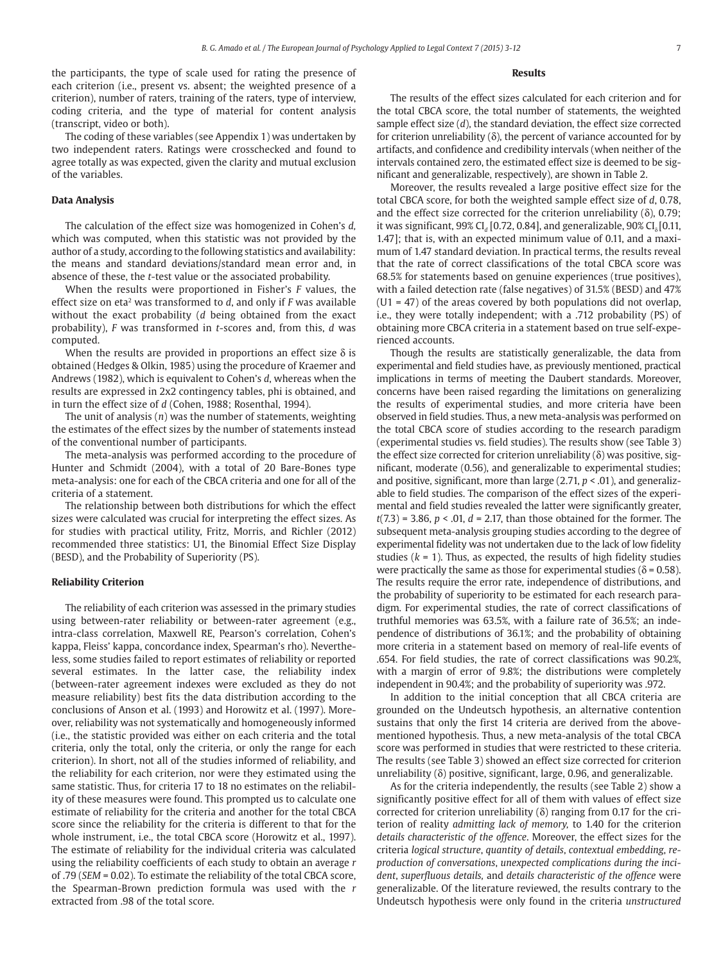the participants, the type of scale used for rating the presence of each criterion (i.e., present vs. absent; the weighted presence of a criterion), number of raters, training of the raters, type of interview, coding criteria, and the type of material for content analysis ( transcript, video or both).

The coding of these variables (see Appendix 1) was undertaken by two independent raters. Ratings were crosschecked and found to agree totally as was expected, given the clarity and mutual exclusion of the variables.

#### **Data Analysis**

The calculation of the effect size was homogenized in Cohen's *d,* which was computed, when this statistic was not provided by the author of a study, according to the following statistics and availability: the means and standard deviations/standard mean error and, in absence of these, the *t*-test value or the associated probability.

When the results were proportioned in Fisher's *F* values, the effect size on eta<sup>2</sup> was transformed to *d*, and only if *F* was available without the exact probability (*d* being obtained from the exact probability), *F* was transformed in *t*-scores and, from this, *d* was computed.

When the results are provided in proportions an effect size  $\delta$  is obtained (Hedges & Olkin, 1985) using the procedure of Kraemer and Andrews (1982), which is equivalent to Cohen's *d*, whereas when the results are expressed in 2x2 contingency tables, phi is obtained, and in turn the effect size of *d* (Cohen, 1988; Rosenthal, 1994).

The unit of analysis (*n*) was the number of statements, weighting the estimates of the effect sizes by the number of statements instead of the conventional number of participants.

The meta-analysis was performed according to the procedure of Hunter and Schmidt (2004), with a total of 20 Bare-Bones type meta-analysis: one for each of the CBCA criteria and one for all of the criteria of a statement.

The relationship between both distributions for which the effect sizes were calculated was crucial for interpreting the effect sizes. As for studies with practical utility, Fritz, Morris, and Richler (2012) recommended three statistics: U1, the Binomial Effect Size Display (BESD), and the Probability of Superiority (PS).

#### **Reliability Criterion**

The reliability of each criterion was assessed in the primary studies using between-rater reliability or between-rater agreement (e.g., intra-class correlation, Maxwell RE, Pearson's correlation, Cohen's kappa, Fleiss' kappa, concordance index, Spearman's rho). Nevertheless, some studies failed to report estimates of reliability or reported several estimates. In the latter case, the reliability index ( between-rater agreement indexes were excluded as they do not measure reliability) best fits the data distribution according to the conclusions of Anson et al. (1993) and Horowitz et al. (1997). Moreover, reliability was not systematically and homogeneously informed (i.e., the statistic provided was either on each criteria and the total criteria, only the total, only the criteria, or only the range for each criterion). In short, not all of the studies informed of reliability, and the reliability for each criterion, nor were they estimated using the same statistic. Thus, for criteria 17 to 18 no estimates on the reliability of these measures were found. This prompted us to calculate one estimate of reliability for the criteria and another for the total CBCA score since the reliability for the criteria is different to that for the whole instrument, i.e., the total CBCA score (Horowitz et al., 1997). The estimate of reliability for the individual criteria was calculated using the reliability coefficients of each study to obtain an average *r* of .79 (*SEM* = 0.02). To estimate the reliability of the total CBCA score, the Spearman-Brown prediction formula was used with the *r* extracted from .98 of the total score.

#### **Results**

The results of the effect sizes calculated for each criterion and for the total CBCA score, the total number of statements, the weighted sample effect size (*d*), the standard deviation, the effect size corrected for criterion unreliability  $(\delta)$ , the percent of variance accounted for by artifacts, and confidence and credibility intervals (when neither of the intervals contained zero, the estimated effect size is deemed to be significant and generalizable, respectively), are shown in Table 2.

Moreover, the results revealed a large positive effect size for the total CBCA score, for both the weighted sample effect size of *d*, 0.78, and the effect size corrected for the criterion unreliability  $(\delta)$ , 0.79; it was significant, 99% CI<sub>d</sub> [0.72, 0.84], and generalizable, 90% CI<sub>s</sub> [0.11, 1.47]; that is, with an expected minimum value of 0.11, and a maximum of 1.47 standard deviation. In practical terms, the results reveal that the rate of correct classifications of the total CBCA score was 68.5% for statements based on genuine experiences (true positives), with a failed detection rate (false negatives) of 31.5% (BESD) and 47%  $(U1 = 47)$  of the areas covered by both populations did not overlap, i.e., they were totally independent; with a .712 probability (PS) of obtaining more CBCA criteria in a statement based on true self-experienced accounts.

Though the results are statistically generalizable, the data from experimental and field studies have, as previously mentioned, practical implications in terms of meeting the Daubert standards. Moreover, concerns have been raised regarding the limitations on generalizing the results of experimental studies, and more criteria have been observed in field studies. Thus, a new meta-analysis was performed on the total CBCA score of studies according to the research paradigm (experimental studies vs. field studies). The results show (see Table 3) the effect size corrected for criterion unreliability ( $\delta$ ) was positive, significant, moderate (0.56), and generalizable to experimental studies; and positive, significant, more than large (2.71, *p* < .01), and generalizable to field studies. The comparison of the effect sizes of the experimental and field studies revealed the latter were significantly greater, *t*(7.3) = 3.86, *p* < .01, *d* = 2.17, than those obtained for the former. The subsequent meta-analysis grouping studies according to the degree of experimental fidelity was not undertaken due to the lack of low fidelity studies  $(k = 1)$ . Thus, as expected, the results of high fidelity studies were practically the same as those for experimental studies ( $\delta$  = 0.58). The results require the error rate, independence of distributions, and the probability of superiority to be estimated for each research paradigm. For experimental studies, the rate of correct classifications of truthful memories was 63.5%, with a failure rate of 36.5%; an independence of distributions of 36.1%; and the probability of obtaining more criteria in a statement based on memory of real-life events of .654. For field studies, the rate of correct classifications was 90.2%, with a margin of error of 9.8%; the distributions were completely independent in 90.4%; and the probability of superiority was .972.

In addition to the initial conception that all CBCA criteria are grounded on the Undeutsch hypothesis, an alternative contention sustains that only the first 14 criteria are derived from the abovementioned hypothesis. Thus, a new meta-analysis of the total CBCA score was performed in studies that were restricted to these criteria. The results (see Table 3) showed an effect size corrected for criterion unreliability (δ) positive, significant, large, 0.96, and generalizable.

As for the criteria independently, the results (see Table 2) show a significantly positive effect for all of them with values of effect size corrected for criterion unreliability (δ) ranging from 0.17 for the criterion of reality *admitting lack of memory,* to 1.40 for the criterion *details characteristic of the offence*. Moreover, the effect sizes for the criteria *logical structure*, *quantity of details*, *contextual embedding*, *reproduction of conversations*, *unexpected complications during the incident*, *superfluous details,* and *details characteristic of the offence* were generalizable. Of the literature reviewed, the results contrary to the Undeutsch hypothesis were only found in the criteria *unstructured*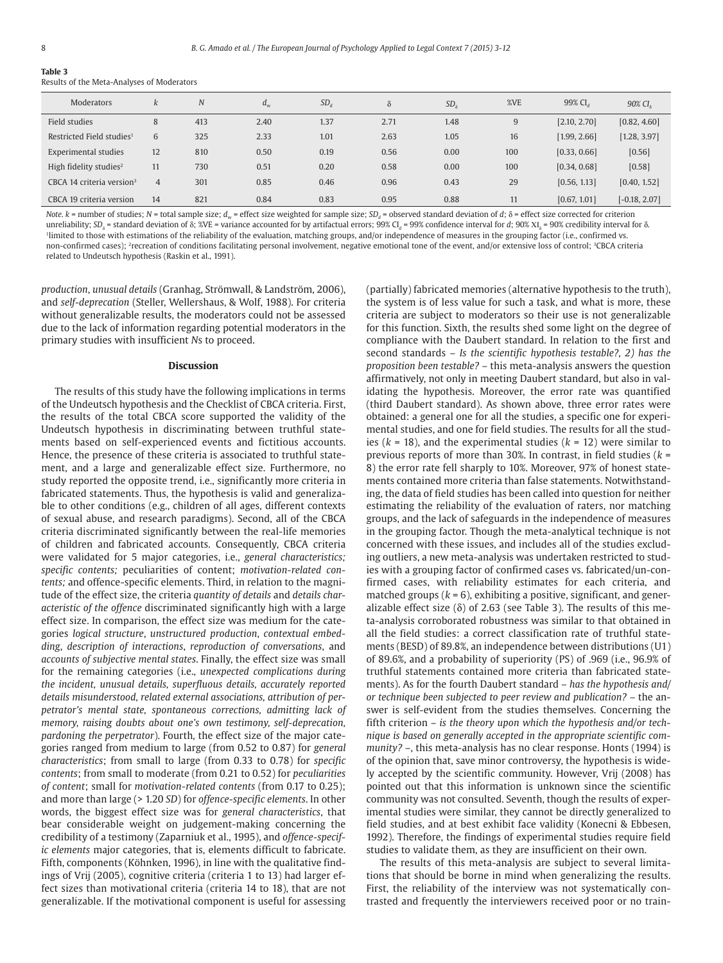## **Table 3**

Results of the Meta-Analyses of Moderators

| Moderators                            | k              | N   | $d_w$ | SD <sub>d</sub> | $\delta$ | SD <sub>s</sub> | %VE | 99% CL       | 90% CI <sub>s</sub> |
|---------------------------------------|----------------|-----|-------|-----------------|----------|-----------------|-----|--------------|---------------------|
| Field studies                         | 8              | 413 | 2.40  | 1.37            | 2.71     | 1.48            | 9   | [2.10, 2.70] | [0.82, 4.60]        |
| Restricted Field studies <sup>1</sup> | 6              | 325 | 2.33  | 1.01            | 2.63     | 1.05            | 16  | [1.99, 2.66] | [1.28, 3.97]        |
| Experimental studies                  | 12             | 810 | 0.50  | 0.19            | 0.56     | 0.00            | 100 | [0.33, 0.66] | [0.56]              |
| High fidelity studies <sup>2</sup>    | 11             | 730 | 0.51  | 0.20            | 0.58     | 0.00            | 100 | [0.34, 0.68] | [0.58]              |
| CBCA 14 criteria version <sup>3</sup> | $\overline{4}$ | 301 | 0.85  | 0.46            | 0.96     | 0.43            | 29  | [0.56, 1.13] | [0.40, 1.52]        |
| CBCA 19 criteria version              | 14             | 821 | 0.84  | 0.83            | 0.95     | 0.88            | 11  | [0.67, 1.01] | $[-0.18, 2.07]$     |

Note. k = number of studies; N = total sample size; d<sub>w</sub> = effect size weighted for sample size; SD<sub>d</sub> = observed standard deviation of d; δ = effect size corrected for criterion unreliability; SD<sub>δ</sub> = standard deviation of δ; %VE = variance accounted for by artifactual errors; 99% Cl<sub>d</sub> = 99% confidence interval for d; 90% X1<sub>δ</sub> = 90% credibility interval for δ. 1 limited to those with estimations of the reliability of the evaluation, matching groups, and/or independence of measures in the grouping factor (i.e., confirmed vs. non-confirmed cases); <sup>2</sup>recreation of conditions facilitating personal involvement, negative emotional tone of the event, and/or extensive loss of control; <sup>3</sup>CBCA criteria related to Undeutsch hypothesis (Raskin et al., 1991).

*production*, *unusual details* (Granhag, Strömwall, & Landström, 2006), and *self-deprecation* (Steller, Wellershaus, & Wolf, 1988). For criteria without generalizable results, the moderators could not be assessed due to the lack of information regarding potential moderators in the primary studies with insufficient *N*s to proceed.

#### **Discussion**

The results of this study have the following implications in terms of the Undeutsch hypothesis and the Checklist of CBCA criteria. First, the results of the total CBCA score supported the validity of the Undeutsch hypothesis in discriminating between truthful statements based on self-experienced events and fictitious accounts. Hence, the presence of these criteria is associated to truthful statement, and a large and generalizable effect size. Furthermore, no study reported the opposite trend, i.e., significantly more criteria in fabricated statements. Thus, the hypothesis is valid and generalizable to other conditions (e.g., children of all ages, different contexts of sexual abuse, and research paradigms). Second, all of the CBCA criteria discriminated significantly between the real-life memories of children and fabricated accounts. Consequently, CBCA criteria were validated for 5 major categories, i.e., *general characteristics; specific contents;* peculiarities of content; *motivation-related contents;* and offence- specific elements. Third, in relation to the magnitude of the effect size, the criteria *quantity of details* and *details characteristic of the offence* discriminated significantly high with a large effect size. In comparison, the effect size was medium for the categories *logical structure*, *unstructured production*, *contextual embedding*, *description of interactions*, *reproduction of conversations*, and *accounts of subjective mental states*. Finally, the effect size was small for the remaining categories (i.e., *unexpected complications during the incident, unusual details, superfluous details, accurately reported details misunderstood, related external associations, attribution of perpetrator's mental state, spontaneous corrections, admitting lack of memory, raising doubts about one's own testimony, self-deprecation, pardoning the perpetrator*). Fourth, the effect size of the major categories ranged from medium to large (from 0.52 to 0.87) for *general characteristics*; from small to large (from 0.33 to 0.78) for *specific contents*; from small to moderate (from 0.21 to 0.52) for *peculiarities of content*; small for *motivation- related contents* (from 0.17 to 0.25); and more than large (> 1.20 *SD*) for *offence-specific elements*. In other words, the biggest effect size was for *general characteristics*, that bear considerable weight on judgement-making concerning the credibility of a testimony (Zaparniuk et al., 1995), and *offence-specific elements* major categories, that is, elements difficult to fabricate. Fifth, components (Köhnken, 1996), in line with the qualitative findings of Vrij (2005), cognitive criteria (criteria 1 to 13) had larger effect sizes than motivational criteria (criteria 14 to 18), that are not generalizable. If the motivational component is useful for assessing

(partially) fabricated memories (alternative hypothesis to the truth), the system is of less value for such a task, and what is more, these criteria are subject to moderators so their use is not generalizable for this function. Sixth, the results shed some light on the degree of compliance with the Daubert standard. In relation to the first and second standards – *Is the scientific hypothesis testable?, 2) has the proposition been testable?* – this meta- analysis answers the question affirmatively, not only in meeting Daubert standard, but also in validating the hypothesis. Moreover, the error rate was quantified (third Daubert standard). As shown above, three error rates were obtained: a general one for all the studies, a specific one for experimental studies, and one for field studies. The results for all the studies  $(k = 18)$ , and the experimental studies  $(k = 12)$  were similar to previous reports of more than 30%. In contrast, in field studies (*k* = 8) the error rate fell sharply to 10%. Moreover, 97% of honest statements contained more criteria than false statements. Notwithstanding, the data of field studies has been called into question for neither estimating the reliability of the evaluation of raters, nor matching groups, and the lack of safeguards in the independence of measures in the grouping factor. Though the meta-analytical technique is not concerned with these issues, and includes all of the studies excluding outliers, a new meta-analysis was undertaken restricted to studies with a grouping factor of confirmed cases vs. fabricated/un-confirmed cases, with reliability estimates for each criteria, and matched groups (*k* = 6), exhibiting a positive, significant, and generalizable effect size  $(\delta)$  of 2.63 (see Table 3). The results of this meta-analysis corroborated robustness was similar to that obtained in all the field studies: a correct classification rate of truthful statements (BESD) of 89.8%, an independence between distributions (U1) of 89.6%, and a probability of superiority (PS) of .969 (i.e., 96.9% of truthful statements contained more criteria than fabricated statements). As for the fourth Daubert standard – *has the hypothesis and/ or technique been subjected to peer review and publication?* – the answer is self-evident from the studies themselves. Concerning the fifth criterion – *is the theory upon which the hypothesis and/or technique is based on generally accepted in the appropriate scientific community?* –, this meta-analysis has no clear response. Honts (1994) is of the opinion that, save minor controversy, the hypothesis is widely accepted by the scientific community. However, Vrij (2008) has pointed out that this information is unknown since the scientific community was not consulted. Seventh, though the results of experimental studies were similar, they cannot be directly generalized to field studies, and at best exhibit face validity (Konecni & Ebbesen, 1992). Therefore, the findings of experimental studies require field studies to validate them, as they are insufficient on their own.

The results of this meta-analysis are subject to several limitations that should be borne in mind when generalizing the results. First, the reliability of the interview was not systematically contrasted and frequently the interviewers received poor or no train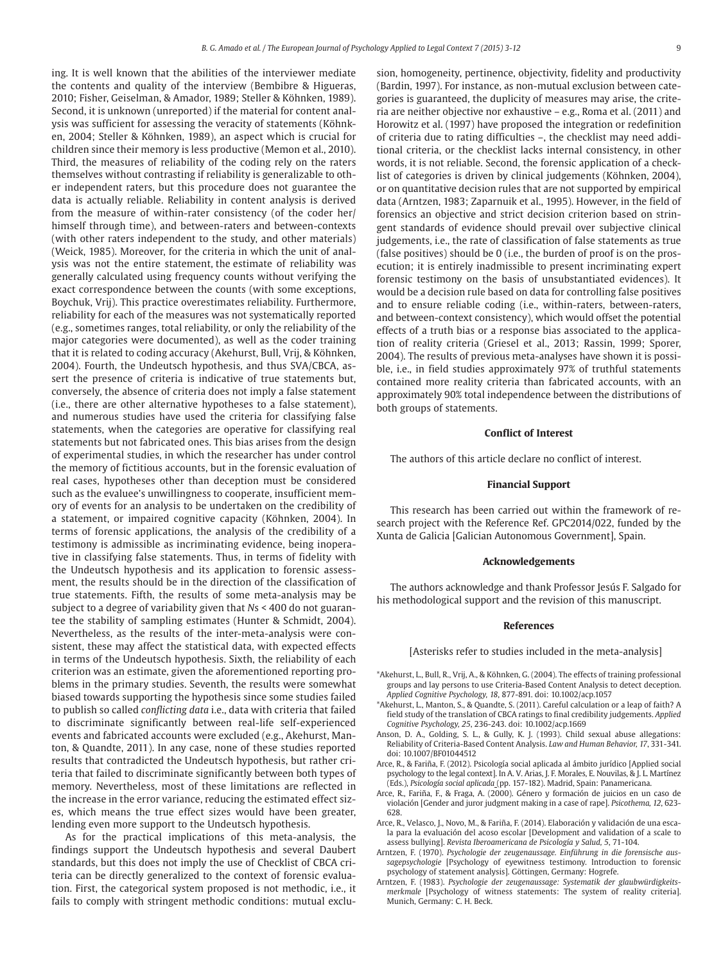ing. It is well known that the abilities of the interviewer mediate the contents and quality of the interview (Bembibre & Higueras, 2010; Fisher, Geiselman, & Amador, 1989; Steller & Köhnken, 1989). Second, it is unknown (unreported) if the material for content analysis was sufficient for assessing the veracity of statements (Köhnken, 2004; Steller & Köhnken, 1989), an aspect which is crucial for children since their memory is less productive (Memon et al., 2010). Third, the measures of reliability of the coding rely on the raters themselves without contrasting if reliability is generalizable to other independent raters, but this procedure does not guarantee the data is actually reliable. Reliability in content analysis is derived from the measure of within-rater consistency (of the coder her/ himself through time), and between-raters and between-contexts (with other raters independent to the study, and other materials) (Weick, 1985). Moreover, for the criteria in which the unit of analysis was not the entire statement, the estimate of reliability was generally calculated using frequency counts without verifying the exact correspondence between the counts (with some exceptions, Boychuk, Vrij). This practice overestimates reliability. Furthermore, reliability for each of the measures was not systematically reported (e.g., sometimes ranges, total reliability, or only the reliability of the major categories were documented), as well as the coder training that it is related to coding accuracy (Akehurst, Bull, Vrij, & Köhnken, 2004). Fourth, the Undeutsch hypothesis, and thus SVA/CBCA, assert the presence of criteria is indicative of true statements but, conversely, the absence of criteria does not imply a false statement (i.e., there are other alternative hypotheses to a false statement), and numerous studies have used the criteria for classifying false statements, when the categories are operative for classifying real statements but not fabricated ones. This bias arises from the design of experimental studies, in which the researcher has under control the memory of fictitious accounts, but in the forensic evaluation of real cases, hypotheses other than deception must be considered such as the evaluee's unwillingness to cooperate, insufficient memory of events for an analysis to be undertaken on the credibility of a statement, or impaired cognitive capacity (Köhnken, 2004). In terms of forensic applications, the analysis of the credibility of a testimony is admissible as incriminating evidence, being inoperative in classifying false statements. Thus, in terms of fidelity with the Undeutsch hypothesis and its application to forensic assessment, the results should be in the direction of the classification of true statements. Fifth, the results of some meta- analysis may be subject to a degree of variability given that *N*s < 400 do not guarantee the stability of sampling estimates (Hunter & Schmidt, 2004). Nevertheless, as the results of the inter-meta-analysis were consistent, these may affect the statistical data, with expected effects in terms of the Undeutsch hypothesis. Sixth, the reliability of each criterion was an estimate, given the aforementioned reporting problems in the primary studies. Seventh, the results were somewhat biased towards supporting the hypothesis since some studies failed to publish so called *conflicting data* i.e., data with criteria that failed to discriminate significantly between real-life self-experienced events and fabricated accounts were excluded (e.g., Akehurst, Manton, & Quandte, 2011). In any case, none of these studies reported results that contradicted the Undeutsch hypothesis, but rather criteria that failed to discriminate significantly between both types of memory. Nevertheless, most of these limitations are reflected in the increase in the error variance, reducing the estimated effect sizes, which means the true effect sizes would have been greater, lending even more support to the Undeutsch hypothesis.

As for the practical implications of this meta-analysis, the findings support the Undeutsch hypothesis and several Daubert standards, but this does not imply the use of Checklist of CBCA criteria can be directly generalized to the context of forensic evaluation. First, the categorical system proposed is not methodic, i.e., it fails to comply with stringent methodic conditions: mutual exclusion, homogeneity, pertinence, objectivity, fidelity and productivity (Bardin, 1997). For instance, as non-mutual exclusion between categories is guaranteed, the duplicity of measures may arise, the criteria are neither objective nor exhaustive – e.g., Roma et al. (2011) and Horowitz et al. (1997) have proposed the integration or redefinition of criteria due to rating difficulties –, the checklist may need additional criteria, or the checklist lacks internal consistency, in other words, it is not reliable. Second, the forensic application of a checklist of categories is driven by clinical judgements (Köhnken, 2004), or on quantitative decision rules that are not supported by empirical data (Arntzen, 1983; Zaparnuik et al., 1995). However, in the field of forensics an objective and strict decision criterion based on stringent standards of evidence should prevail over subjective clinical judgements, i.e., the rate of classification of false statements as true (false positives) should be 0 (i.e., the burden of proof is on the prosecution; it is entirely inadmissible to present incriminating expert forensic testimony on the basis of unsubstantiated evidences). It would be a decision rule based on data for controlling false positives and to ensure reliable coding (i.e., within-raters, between-raters, and between-context consistency), which would offset the potential effects of a truth bias or a response bias associated to the application of reality criteria (Griesel et al., 2013; Rassin, 1999; Sporer, 2004). The results of previous meta- analyses have shown it is possible, i.e., in field studies approximately 97% of truthful statements contained more reality criteria than fabricated accounts, with an approximately 90% total independence between the distributions of both groups of statements.

#### **Conflict of Interest**

The authors of this article declare no conflict of interest.

#### **Financial Support**

This research has been carried out within the framework of research project with the Reference Ref. GPC2014/022, funded by the Xunta de Galicia [Galician Autonomous Government], Spain.

#### **Acknowledgements**

The authors acknowledge and thank Professor Jesús F. Salgado for his methodological support and the revision of this manuscript.

#### **References**

[Asterisks refer to studies included in the meta-analysis]

- \*Akehurst, L., Bull, R., Vrij, A., & Köhnken, G. (2004). The effects of training professional groups and lay persons to use Criteria-Based Content Analysis to detect deception. *Applied Cognitive Psychology, 18*, 877-891. doi: 10.1002/acp.1057
- \*Akehurst, L., Manton, S., & Quandte, S. (2011). Careful calculation or a leap of faith? A field study of the translation of CBCA ratings to final credibility judgements. *Applied Cognitive Psychology, 25*, 236-243. doi: 10.1002/acp.1669
- Anson, D. A., Golding, S. L., & Gully, K. J. (1993). Child sexual abuse allegations: Reliability of Criteria-Based Content Analysis. *Law and Human Behavior, 17*, 331-341. doi: 10.1007/BF01044512
- Arce, R., & Fariña, F. (2012). Psicología social aplicada al ámbito jurídico [Applied social psychology to the legal context]. In A. V. Arias, J. F. Morales, E. Nouvilas, & J. L. Martínez (Eds.), *Psicología social aplicada* (pp. 157-182). Madrid, Spain: Panamericana.
- Arce, R., Fariña, F., & Fraga, A. (2000). Género y formación de juicios en un caso de violación [Gender and juror judgment making in a case of rape]. *Psicothema, 12*, 623- 628.
- Arce, R., Velasco, J., Novo, M., & Fariña, F. (2014). Elaboración y validación de una escala para la evaluación del acoso escolar [Development and validation of a scale to assess bullying]. *Revista Iberoamericana de Psicología y Salud, 5*, 71-104.
- Arntzen, F. (1970). *Psychologie der zeugenaussage. Einführung in die forensische aussagepsychologie* [Psychology of eyewitness testimony. Introduction to forensic psychology of statement analysis]. Göttingen, Germany: Hogrefe.
- Arntzen, F. (1983). *Psychologie der zeugenaussage: Systematik der glaubwürdigkeitsmerkmale* [Psychology of witness statements: The system of reality criteria]. Munich, Germany: C. H. Beck.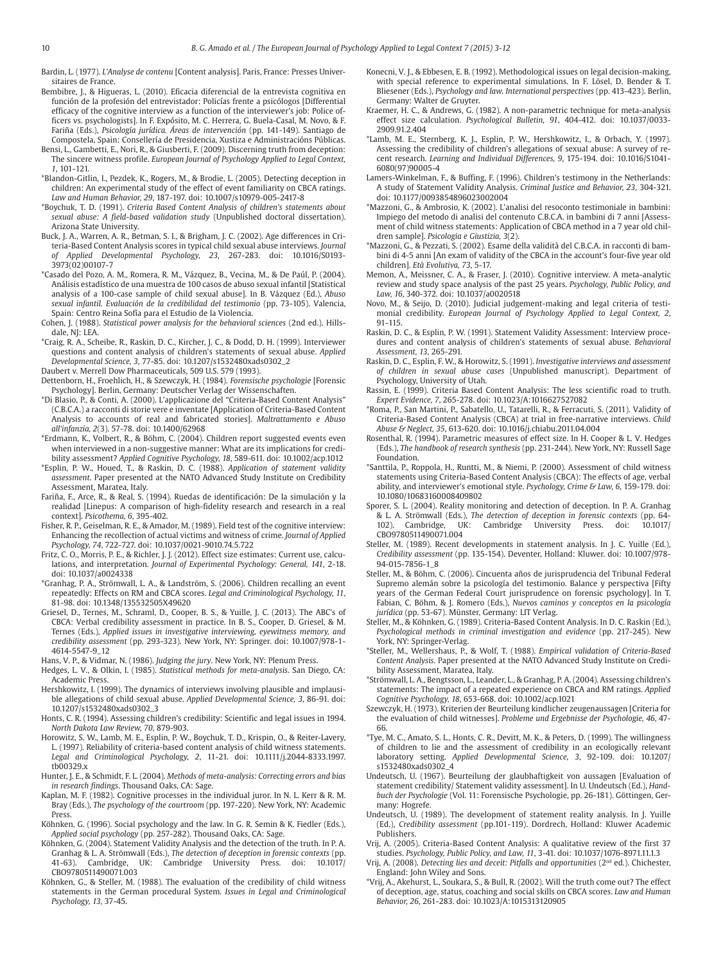Bardin, L. (1977). *L'Analyse de contenu* [Content analysis]. Paris, France: Presses Universitaires de France.

- Bembibre, J., & Higueras, L. (2010). Eficacia diferencial de la entrevista cognitiva en función de la profesión del entrevistador: Policías frente a psicólogos [Differential efficacy of the cognitive interview as a function of the interviewer's job: Police officers vs. psychologists]. In F. Expósito, M. C. Herrera, G. Buela-Casal, M. Novo, & F. Fariña (Eds.), *Psicología jurídica. Áreas de intervención* (pp. 141-149). Santiago de Compostela, Spain: Consellería de Presidencia, Xustiza e Administracións Públicas.
- Bensi, L., Gambetti, E., Nori, R., & Giusberti, F. (2009). Discerning truth from deception: The sincere witness profile. *European Journal of Psychology Applied to Legal Context, 1*, 101-121.
- \*Blandon-Gitlin, I., Pezdek, K., Rogers, M., & Brodie, L. (2005). Detecting deception in children: An experimental study of the effect of event familiarity on CBCA ratings. *Law and Human Behavior, 29*, 187-197. doi: 10.1007/s10979-005-2417-8
- \*Boychuk, T. D. (1991). *Criteria Based Content Analysis of children's statements about sexual abuse: A field-based validation study* (Unpublished doctoral dissertation). Arizona State University.
- Buck, J. A., Warren, A. R., Betman, S. I., & Brigham, J. C. (2002). Age differences in Criteria-Based Content Analysis scores in typical child sexual abuse interviews. *Journal of Applied Developmental Psychology, 23*, 267-283. doi: 10.1016/S0193- 3973(02)00107-7
- \*Casado del Pozo, A. M., Romera, R. M., Vázquez, B., Vecina, M., & De Paúl, P. (2004). Análisis estadístico de una muestra de 100 casos de abuso sexual infantil [Statistical analysis of a 100-case sample of child sexual abuse]. In B. Vázquez (Ed.), *Abuso sexual infantil. Evaluación de la credibilidad del testimonio* (pp. 73-105). Valencia, Spain: Centro Reina Sofía para el Estudio de la Violencia.
- Cohen, J. (1988). *Statistical power analysis for the behavioral sciences* (2nd ed.). Hillsdale, NJ: LEA.
- \*Craig, R. A., Scheibe, R., Raskin, D. C., Kircher, J. C., & Dodd, D. H. (1999). Interviewer questions and content analysis of children's statements of sexual abuse. *Applied Developmental Science, 3*, 77-85. doi: 10.1207/s1532480xads0302\_2
- Daubert v. Merrell Dow Pharmaceuticals, 509 U.S. 579 (1993).
- Dettenborn, H., Froehlich, H., & Szewczyk, H. (1984). *Forensische psychologie* [Forensic Psychology]. Berlin, Germany: Deutscher Verlag der Wissenschaften.
- \*Di Blasio, P., & Conti, A. (2000). L'applicazione del "Criteria-Based Content Analysis" (C.B.C.A.) a racconti di storie vere e inventate [Application of Criteria-Based Content Analysis to accounts of real and fabricated stories]. *Maltrattamento e Abuso all'infanzia, 2*(3). 57-78. doi: 10.1400/62968
- \*Erdmann, K., Volbert, R., & Böhm, C. (2004). Children report suggested events even when interviewed in a non-suggestive manner: What are its implications for credibility assessment? *Applied Cognitive Psychology, 18*, 589-611. doi: 10.1002/acp.1012
- \*Esplin, P. W., Houed, T., & Raskin, D. C. (1988). *Application of statement validity assessment*. Paper presented at the NATO Advanced Study Institute on Credibility Assessment, Maratea, Italy.
- Fariña, F., Arce, R., & Real, S. (1994). Ruedas de identificación: De la simulación y la realidad [Linepus: A comparison of high-fidelity research and research in a real context]. *Psicothema, 6*, 395-402.
- Fisher, R. P., Geiselman, R. E., & Amador, M. (1989). Field test of the cognitive interview: Enhancing the recollection of actual victims and witness of crime. *Journal of Applied Psychology, 74*, 722-727. doi: 10.1037/0021-9010.74.5.722
- Fritz, C. O., Morris, P. E., & Richler, J. J. (2012). Effect size estimates: Current use, calculations, and interpretation. *Journal of Experimental Psychology: General, 141*, 2-18. doi: 10.1037/a0024338
- \*Granhag, P. A., Strömwall, L. A., & Landström, S. (2006). Children recalling an event repeatedly: Effects on RM and CBCA scores. *Legal and Criminological Psychology, 11*, 81-98. doi: 10.1348/135532505X49620
- Griesel, D., Ternes, M., Schraml, D., Cooper, B. S., & Yuille, J. C. (2013). The ABC's of CBCA: Verbal credibility assessment in practice. In B. S., Cooper, D. Griesel, & M. Ternes (Eds.), *Applied issues in investigative interviewing, eyewitness memory, and credibility assessment* (pp. 293-323). New York, NY: Springer. doi: 10.1007/978-1- 4614-5547-9\_12
- Hans, V. P., & Vidmar, N. (1986). *Judging the jury*. New York, NY: Plenum Press.
- Hedges, L. V., & Olkin, I. (1985). *Statistical methods for meta-analysis*. San Diego, CA: Academic Press.
- Hershkowitz, I. (1999). The dynamics of interviews involving plausible and implausible allegations of child sexual abuse. *Applied Developmental Science, 3*, 86-91. doi: 10.1207/s1532480xads0302\_3
- Honts, C. R. (1994). Assessing children's credibility: Scientific and legal issues in 1994. *North Dakota Law Review, 70*, 879-903.
- Horowitz, S. W., Lamb, M. E., Esplin, P. W., Boychuk, T. D., Krispin, O., & Reiter-Lavery, L. (1997). Reliability of criteria-based content analysis of child witness statements. *Legal and Criminological Psychology, 2*, 11-21. doi: 10.1111/j.2044-8333.1997. tb00329.x
- Hunter, J. E., & Schmidt, F. L. (2004). *Methods of meta-analysis: Correcting errors and bias in research findings*. Thousand Oaks, CA: Sage.
- Kaplan, M. F. (1982). Cognitive processes in the individual juror. In N. L. Kerr & R. M. Bray (Eds.), *The psychology of the courtroom* (pp. 197-220). New York, NY: Academic Press. Köhnken, G. (1996). Social psychology and the law. In G. R. Semin & K. Fiedler (Eds.),
- *Applied social psychology* (pp. 257-282). Thousand Oaks, CA: Sage.
- Köhnken, G. (2004). Statement Validity Analysis and the detection of the truth. In P. A. Granhag & L. A. Strömwall (Eds.), *The detection of deception in forensic contexts* (pp. 41-63). Cambridge, UK: Cambridge University Press. doi: 10.1017/ CBO9780511490071.003
- Köhnken, G., & Steller, M. (1988). The evaluation of the credibility of child witness statements in the German procedural System. *Issues in Legal and Criminological Psychology, 13*, 37-45.
- Konecni, V. J., & Ebbesen, E. B. (1992). Methodological issues on legal decision-making with special reference to experimental simulations. In F. Lösel, D. Bender & T. Bliesener (Eds.), *Psychology and law. International perspectives* (pp. 413-423). Berlin, Germany: Walter de Gruyter.
- Kraemer, H. C., & Andrews, G. (1982). A non-parametric technique for meta-analysis effect size calculation. *Psychological Bulletin, 91*, 404-412. doi: 10.1037/0033- 2909.91.2.404
- \*Lamb, M. E., Sternberg, K. J., Esplin, P. W., Hershkowitz, I., & Orbach, Y. (1997). Assessing the credibility of children's allegations of sexual abuse: A survey of recent research. *Learning and Individual Differences, 9*, 175-194. doi: 10.1016/S1041- 6080(97)90005-4
- Lamers-Winkelman, F., & Buffing, F. (1996). Children's testimony in the Netherlands: A study of Statement Validity Analysis. *Criminal Justice and Behavior, 23*, 304-321. doi: 10.1177/0093854896023002004
- \*Mazzoni, G., & Ambrosio, K. (2002). L'analisi del resoconto testimoniale in bambini: Impiego del metodo di analisi del contenuto C.B.C.A. in bambini di 7 anni [Assessment of child witness statements: Application of CBCA method in a 7 year old children sample]. *Psicologia e Giustizia, 3*(2).
- \*Mazzoni, G., & Pezzati, S. (2002). Esame della validità del C.B.C.A. in racconti di bambini di 4-5 anni [An exam of validity of the CBCA in the account's four-five year old children]. *Età Evolutiva, 73*, 5-17.
- Memon, A., Meissner, C. A., & Fraser, J. (2010). Cognitive interview. A meta-analytic review and study space analysis of the past 25 years. *Psychology, Public Policy, and Law, 16*, 340-372. doi: 10.1037/a0020518
- Novo, M., & Seijo, D. (2010). Judicial judgement-making and legal criteria of testimonial credibility. *European Journal of Psychology Applied to Legal Context, 2*, 91-115.
- Raskin, D. C., & Esplin, P. W. (1991). Statement Validity Assessment: Interview procedures and content analysis of children's statements of sexual abuse. *Behavioral Assessment, 13*, 265-291.
- Raskin, D. C., Esplin, F. W., & Horowitz, S. (1991). *Investigative interviews and assessment of children in sexual abuse cases* (Unpublished manuscript). Department of Psychology, University of Utah.
- Rassin, E. (1999). Criteria Based Content Analysis: The less scientific road to truth. *Expert Evidence, 7*, 265-278. doi: 10.1023/A:1016627527082
- \*Roma, P., San Martini, P., Sabatello, U., Tatarelli, R., & Ferracuti, S. (2011). Validity of Criteria-Based Content Analysis (CBCA) at trial in free-narrative interviews. *Child Abuse & Neglect, 35*, 613-620. doi: 10.1016/j.chiabu.2011.04.004
- Rosenthal, R. (1994). Parametric measures of effect size. In H. Cooper & L. V. Hedges (Eds.), *The handbook of research synthesis* (pp. 231-244). New York, NY: Russell Sage Foundation.
- \*Santtila, P., Roppola, H., Runtti, M., & Niemi, P. (2000). Assessment of child witness statements using Criteria-Based Content Analysis (CBCA): The effects of age, verbal ability, and interviewer's emotional style. *Psychology, Crime & Law, 6*, 159-179. doi: 10.1080/10683160008409802
- Sporer, S. L. (2004). Reality monitoring and detection of deception. In P. A. Granhag & L. A. Strömwall (Eds.), *The detection of deception in forensic contexts* (pp. 64- 102). Cambridge, UK: Cambridge University Press. doi: 10.1017/ CBO9780511490071.004
- Steller, M. (1989). Recent developments in statement analysis. In J. C. Yuille (Ed.), *Credi bility assessment* (pp. 135-154). Deventer, Holland: Kluwer. doi: 10.1007/978- 94-015-7856-1\_8
- Steller, M., & Böhm, C. (2006). Cincuenta años de jurisprudencia del Tribunal Federal Supremo alemán sobre la psicología del testimonio. Balance y perspectiva [Fifty years of the German Federal Court jurisprudence on forensic psychology]. In T. Fabian, C. Böhm, & J. Romero (Eds.), *Nuevos caminos y conceptos en la psicología jurídica* (pp. 53-67). Münster, Germany: LIT Verlag.
- Steller, M., & Köhnken, G. (1989). Criteria-Based Content Analysis. In D. C. Raskin (Ed.), *Psychological methods in criminal investigation and evidence* (pp. 217-245). New York, NY: Springer-Verlag.
- \*Steller, M., Wellershaus, P., & Wolf, T. (1988). *Empirical validation of Criteria-Based Content Analysis*. Paper presented at the NATO Advanced Study Institute on Credibility Assessment, Maratea, Italy.
- \*Strömwall, L. A., Bengtsson, L., Leander, L., & Granhag, P. A. (2004). Assessing children's statements: The impact of a repeated experience on CBCA and RM ratings. *Applied Cognitive Psychology, 18*, 653-668. doi: 10.1002/acp.1021
- Szewczyk, H. (1973). Kriterien der Beurteilung kindlicher zeugenaussagen [Criteria for the evaluation of child witnesses]. *Probleme und Ergebnisse der Psychologie, 46*, 47- 66.
- \*Tye, M. C., Amato, S. L., Honts, C. R., Devitt, M. K., & Peters, D. (1999). The willingness of children to lie and the assessment of credibility in an ecologically relevant laboratory setting. *Applied Developmental Science, 3*, 92-109. doi: 10.1207/ s1532480xads0302\_4
- Undeutsch, U. (1967). Beurteilung der glaubhaftigkeit von aussagen [Evaluation of statement credibility/ Statement validity assessment]. In U. Undeutsch (Ed.), *Handbuch der Psychologie* (Vol. 11: Forensische Psychologie, pp. 26-181). Göttingen, Germany: Hogrefe.
- Undeutsch, U. (1989). The development of statement reality analysis. In J. Yuille (Ed.), *Credibility assessment* (pp.101-119). Dordrech, Holland: Kluwer Academic Publishers.
- Vrij, A. (2005). Criteria-Based Content Analysis: A qualitative review of the first 37 studies. *Psychology, Public Policy, and Law, 11*, 3-41. doi: 10.1037/1076-8971.11.1.3
- Vrij, A. (2008). *Detecting lies and deceit: Pitfalls and opportunities* (2nd ed.). Chichester, England: John Wiley and Sons.
- \*Vrij, A., Akehurst, L., Soukara, S., & Bull, R. (2002). Will the truth come out? The effect of deception, age, status, coaching and social skills on CBCA scores. *Law and Human Behavior, 26*, 261-283. doi: 10.1023/A:1015313120905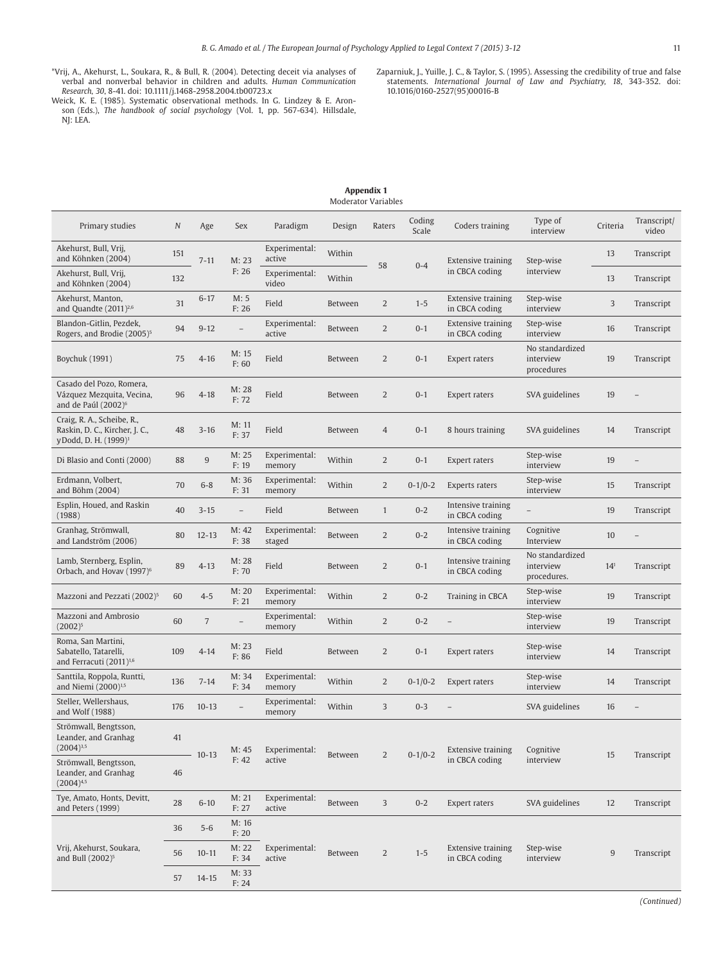- \*Vrij, A., Akehurst, L., Soukara, R., & Bull, R. (2004). Detecting deceit via analyses of verbal and nonverbal behavior in children and adults. *Human Communication Research*, 30, 8-41. doi: 10.1111/j.1468-2958.2004.tb0072
- Zaparniuk, J., Yuille, J. C., & Taylor, S. (1995). Assessing the credibility of true and false statements. International Journal of Law and Psychiatry, 18, 343-352. doi: 10.1016/0160-2527(95)00016-B
- 

| <b>Appendix 1</b><br><b>Moderator Variables</b>                                                   |                  |                             |                          |                         |         |                |                 |                                             |                                             |                 |                      |
|---------------------------------------------------------------------------------------------------|------------------|-----------------------------|--------------------------|-------------------------|---------|----------------|-----------------|---------------------------------------------|---------------------------------------------|-----------------|----------------------|
| Primary studies                                                                                   | $\boldsymbol{N}$ | Age                         | Sex                      | Paradigm                | Design  | Raters         | Coding<br>Scale | Coders training                             | Type of<br>interview                        | Criteria        | Transcript/<br>video |
| Akehurst, Bull, Vrij,<br>and Köhnken (2004)                                                       | 151              | $7 - 11$                    | M: 23                    | Experimental:<br>active | Within  |                |                 | <b>Extensive training</b><br>in CBCA coding | Step-wise<br>interview                      | 13              | Transcript           |
| Akehurst, Bull, Vrij,<br>and Köhnken (2004)                                                       | 132              |                             | F: 26                    | Experimental:<br>video  | Within  | 58             | $0 - 4$         |                                             |                                             | 13              | Transcript           |
| Akehurst, Manton,<br>and Quandte $(2011)^{2,6}$                                                   | 31               | $6 - 17$                    | M: 5<br>F: 26            | Field                   | Between | $\overline{2}$ | $1 - 5$         | <b>Extensive training</b><br>in CBCA coding | Step-wise<br>interview                      | 3               | Transcript           |
| Blandon-Gitlin, Pezdek,<br>Rogers, and Brodie (2005) <sup>5</sup>                                 | 94               | $9 - 12$                    |                          | Experimental:<br>active | Between | $\overline{2}$ | $0 - 1$         | <b>Extensive training</b><br>in CBCA coding | Step-wise<br>interview                      | 16              | Transcript           |
| Boychuk (1991)                                                                                    | 75               | $4 - 16$                    | M: 15<br>F: 60           | Field                   | Between | $\overline{2}$ | $0 - 1$         | Expert raters                               | No standardized<br>interview<br>procedures  | 19              | Transcript           |
| Casado del Pozo, Romera,<br>Vázquez Mezquita, Vecina,<br>and de Paúl (2002) <sup>6</sup>          | 96               | $4 - 18$                    | M: 28<br>F: 72           | Field                   | Between | $\overline{2}$ | $0 - 1$         | Expert raters                               | SVA guidelines                              | 19              |                      |
| Craig, R. A., Scheibe, R.,<br>Raskin, D. C., Kircher, J. C.,<br>y Dodd, D. H. (1999) <sup>1</sup> | 48               | $3 - 16$                    | M: 11<br>F: 37           | Field                   | Between | $\overline{4}$ | $0 - 1$         | 8 hours training                            | SVA guidelines                              | 14              | Transcript           |
| Di Blasio and Conti (2000)                                                                        | 88               | $9\,$                       | M: 25<br>F: 19           | Experimental:<br>memory | Within  | $\overline{2}$ | $0 - 1$         | Expert raters                               | Step-wise<br>interview                      | 19              |                      |
| Erdmann, Volbert,<br>and Böhm (2004)                                                              | 70               | $6 - 8$                     | M: 36<br>F: 31           | Experimental:<br>memory | Within  | $\overline{2}$ | $0 - 1/0 - 2$   | Experts raters                              | Step-wise<br>interview                      | 15              | Transcript           |
| Esplin, Houed, and Raskin<br>(1988)                                                               | 40               | $3 - 15$                    | $\overline{\phantom{a}}$ | Field                   | Between | $\mathbf{1}$   | $0 - 2$         | Intensive training<br>in CBCA coding        |                                             | 19              | Transcript           |
| Granhag, Strömwall,<br>and Landström (2006)                                                       | 80               | $12 - 13$                   | M: 42<br>F: 38           | Experimental:<br>staged | Between | $\overline{2}$ | $0 - 2$         | Intensive training<br>in CBCA coding        | Cognitive<br>Interview                      | 10              |                      |
| Lamb, Sternberg, Esplin,<br>Orbach, and Hovav (1997) <sup>6</sup>                                 | 89               | $4 - 13$                    | M: 28<br>F: 70           | Field                   | Between | $\overline{2}$ | $0 - 1$         | Intensive training<br>in CBCA coding        | No standardized<br>interview<br>procedures. | 14 <sup>1</sup> | Transcript           |
| Mazzoni and Pezzati (2002) <sup>5</sup>                                                           | 60               | $4 - 5$                     | M: 20<br>F: 21           | Experimental:<br>memory | Within  | $\overline{2}$ | $0 - 2$         | Training in CBCA                            | Step-wise<br>interview                      | 19              | Transcript           |
| Mazzoni and Ambrosio<br>$(2002)^5$                                                                | 60               | $\overline{7}$              | $\overline{\phantom{0}}$ | Experimental:<br>memory | Within  | $\overline{2}$ | $0 - 2$         |                                             | Step-wise<br>interview                      | 19              | Transcript           |
| Roma, San Martini,<br>Sabatello, Tatarelli,<br>and Ferracuti (2011) <sup>1,6</sup>                | 109              | $4 - 14$                    | M: 23<br>F: 86           | Field                   | Between | $\overline{2}$ | $0 - 1$         | Expert raters                               | Step-wise<br>interview                      | 14              | Transcript           |
| Santtila, Roppola, Runtti,<br>and Niemi (2000) <sup>1,5</sup>                                     | 136              | $7 - 14$                    | M: 34<br>F: 34           | Experimental:<br>memory | Within  | $\overline{2}$ | $0 - 1/0 - 2$   | Expert raters                               | Step-wise<br>interview                      | 14              | Transcript           |
| Steller, Wellershaus,<br>and Wolf (1988)                                                          | 176              | $10 - 13$                   |                          | Experimental:<br>memory | Within  | 3              | $0 - 3$         |                                             | SVA guidelines                              | 16              |                      |
| Strömwall, Bengtsson,<br>Leander, and Granhag<br>$(2004)^{3,5}$                                   | 41               | $10 - 13$                   | M: 45                    | Experimental:           | Between | $\overline{2}$ | $0 - 1/0 - 2$   | <b>Extensive training</b>                   | Cognitive                                   | 15              | Transcript           |
| Strömwall, Bengtsson,<br>Leander, and Granhag<br>$(2004)^{4,5}$                                   | 46               |                             | F: 42                    | active                  |         |                |                 | in CBCA coding                              | interview                                   |                 |                      |
| Tye, Amato, Honts, Devitt,<br>and Peters (1999)                                                   | 28               | $6 - 10$                    | M: 21<br>F: 27           | Experimental:<br>active | Between | 3              | $0 - 2$         | Expert raters                               | SVA guidelines                              | 12              | Transcript           |
|                                                                                                   | 36               | $5 - 6$                     | M: 16<br>F: 20           |                         |         |                |                 |                                             |                                             |                 |                      |
| Vrij, Akehurst, Soukara,<br>and Bull (2002) <sup>5</sup>                                          | 56               | M: 22<br>$10 - 11$<br>F: 34 |                          | Experimental:<br>active | Between | $\overline{2}$ | $1 - 5$         | <b>Extensive training</b><br>in CBCA coding | Step-wise<br>interview                      | $\overline{9}$  | Transcript           |
|                                                                                                   | 57               | $14 - 15$                   | M: 33<br>F: 24           |                         |         |                |                 |                                             |                                             |                 |                      |